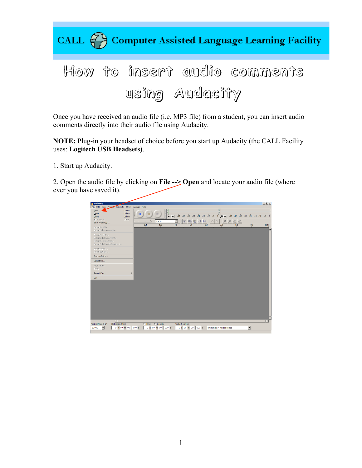

Once you have received an audio file (i.e. MP3 file) from a student, you can insert audio comments directly into their audio file using Audacity.

**NOTE:** Plug-in your headset of choice before you start up Audacity (the CALL Facility uses: **Logitech USB Headsets)**.

1. Start up Audacity.

2. Open the audio file by clicking on **File --> Open** and locate your audio file (where ever you have saved it).

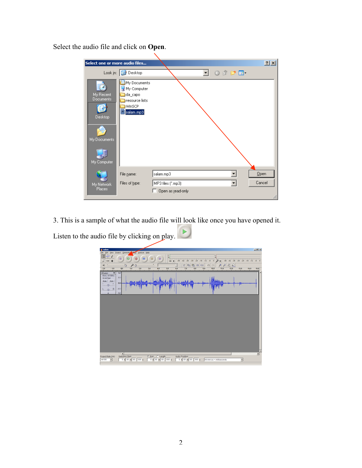Select the audio file and click on **Open**.

| Select one or more audio files                                          |                                                                                 |                                                             | ? X    |
|-------------------------------------------------------------------------|---------------------------------------------------------------------------------|-------------------------------------------------------------|--------|
|                                                                         | Look in: <b>B</b> Desktop                                                       | $0$ $0$ $0$ $0$ $m$                                         |        |
| My Recent<br><b>Documents</b><br>Desktop<br>My Documents<br>My Computer | My Documents<br>My Computer<br>da_capo<br>resource lists<br>WinSCP<br>salam.mp3 |                                                             |        |
| My Network<br><b>Places</b>                                             | File name:<br>Files of type:                                                    | Qpen<br>salam.mp3<br>MP3 files (".mp3)<br>Open as read-only | Cancel |

3. This is a sample of what the audio file will look like once you have opened it.

Listen to the audio file by clicking on play.

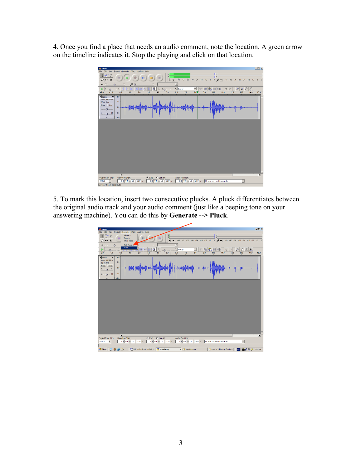4. Once you find a place that needs an audio comment, note the location. A green arrow on the timeline indicates it. Stop the playing and click on that location.



5. To mark this location, insert two consecutive plucks. A pluck differentiates between the original audio track and your audio comment (just like a beeping tone on your answering machine). You can do this by **Generate --> Pluck**.

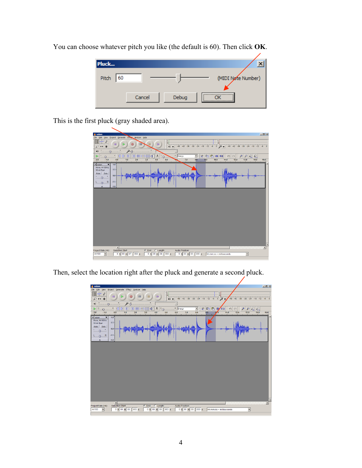

You can choose whatever pitch you like (the default is 60). Then click **OK**.

This is the first pluck (gray shaded area).



Then, select the location right after the pluck and generate a second pluck.

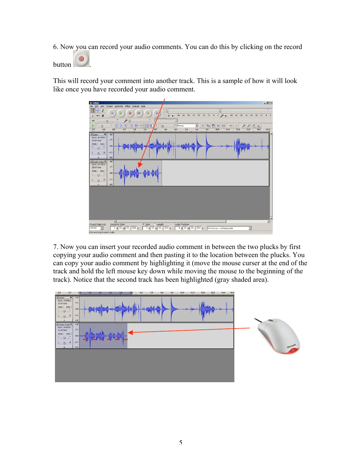6. Now you can record your audio comments. You can do this by clicking on the record

button ...

This will record your comment into another track. This is a sample of how it will look like once you have recorded your audio comment.



7. Now you can insert your recorded audio comment in between the two plucks by first copying your audio comment and then pasting it to the location between the plucks. You can copy your audio comment by highlighting it (move the mouse curser at the end of the track and hold the left mouse key down while moving the mouse to the beginning of the track). Notice that the second track has been highlighted (gray shaded area).

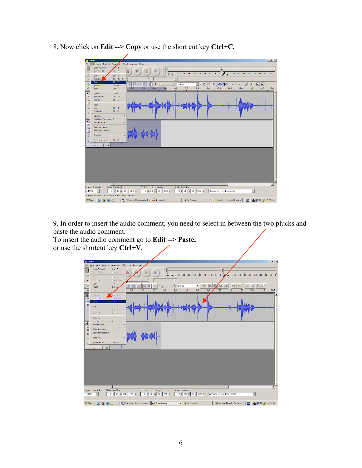- $\frac{1}{1+2}$  $\left( \mathbf{u} \right)$ **B** ੋਚਾ≂ 5.  $-42 - 36$  $-24 - 18$ J Ctrl+X<br>Ctrl+Alt+X **SMAC**  $\sqrt{25}$  $\frac{1}{40}$   $\frac{1}{40}$  $\frac{1}{30}$   $\frac{1}{30}$   $\frac{1}{30}$   $\frac{1}{100}$   $\frac{1}{100}$  $\begin{array}{|c|c|c|}\hline \hspace{1.0cm} \text{\large $\smallsetminus$} & \hspace{1.5cm} \text{\large $\smallsetminus$} \\ \hline \hspace{1.5cm} \text{\large $11.0$} & \hspace{1.5cm} \text{\large $12.0$} \\ \hline \end{array}$  $\mathcal P$  $\frac{1}{8.0}$  $\frac{2}{13.0}$   $\frac{1}{14.0}$ Ctrl+V<br>Ctrl+T  $15.0$  $\overline{2.0}$  $\overline{\cdot}$  2. Ctrl+K<br>Ctrl+Alt+K<br>Ctrl+L  $\overline{\mathbb{Z}}$  $Mc$ <br> $32$ <br> $M1$  $Ctrl+J$ <br> $Ctrl+D$ Ĺ Duplic Find Zero Cr<br>Move Cursor  $\overline{\mathbf{x}}$  $Mc$ <br>32 Selection Say Selection D Snap-To.  $\overline{CH}$  $\Box$  $\begin{array}{c|c|c}\n\hline\n\text{Selection Start} & \\
\hline\n0 & h & 00 & m & 00 \\
\hline\n\end{array}$ Project Rate (Hz)  $\mathbf{F}$ C End: C Length: Audio Position:<br>
0 h 00 m 05 173 s 0 h 00 m 00 00 s hh:mm:ss + milliseconds  $\overline{\mathbf{r}}$ sk spa g 1 hour and 4) **d** Start | 0 3 4 C | iii Edit audio files in audacit... | a z audacity - My Computer how to edit audip files in ... | | 3 | 8 | 9 2 3:58 PM
- 8. Now click on **Edit --> Copy** or use the short cut key **Ctrl+C.**

9. In order to insert the audio comment, you need to select in between the two plucks and paste the audio comment.

To insert the audio comment go to **Edit --> Paste,** or use the shortcut key **Ctrl+V**.

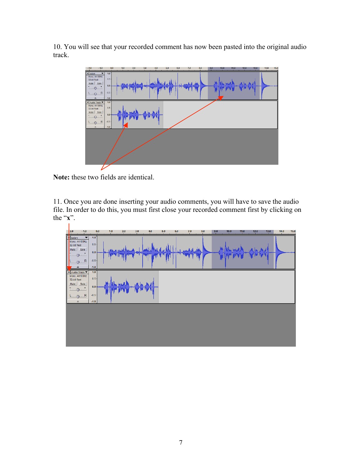10. You will see that your recorded comment has now been pasted into the original audio track.



**Note:** these two fields are identical.

11. Once you are done inserting your audio comments, you will have to save the audio file. In order to do this, you must first close your recorded comment first by clicking on the "**x**".

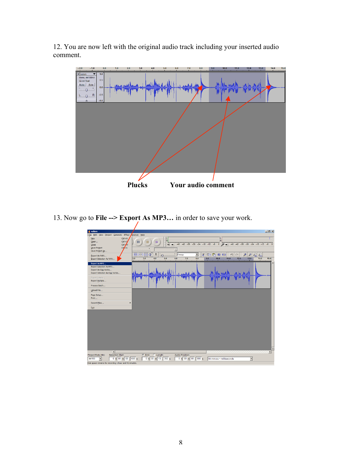12. You are now left with the original audio track including your inserted audio comment.



13. Now go to **File --> Export As MP3…** in order to save your work.